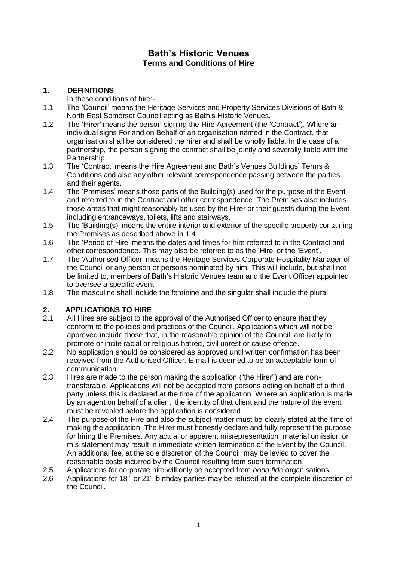# **Bath's Historic Venues Terms and Conditions of Hire**

## **1. DEFINITIONS**

In these conditions of hire:-

- 1.1 The 'Council' means the Heritage Services and Property Services Divisions of Bath & North East Somerset Council acting as Bath's Historic Venues.
- 1.2 The 'Hirer' means the person signing the Hire Agreement (the 'Contract'). Where an individual signs For and on Behalf of an organisation named in the Contract, that organisation shall be considered the hirer and shall be wholly liable. In the case of a partnership, the person signing the contract shall be jointly and severally liable with the Partnership.
- 1.3 The 'Contract' means the Hire Agreement and Bath's Venues Buildings' Terms & Conditions and also any other relevant correspondence passing between the parties and their agents.
- 1.4 The 'Premises' means those parts of the Building(s) used for the purpose of the Event and referred to in the Contract and other correspondence. The Premises also includes those areas that might reasonably be used by the Hirer or their guests during the Event including entranceways, toilets, lifts and stairways.
- 1.5 The 'Building(s)' means the entire interior and exterior of the specific property containing the Premises as described above in 1.4.
- 1.6 The 'Period of Hire' means the dates and times for hire referred to in the Contract and other correspondence. This may also be referred to as the 'Hire' or the 'Event'.
- 1.7 The 'Authorised Officer' means the Heritage Services Corporate Hospitality Manager of the Council or any person or persons nominated by him. This will include, but shall not be limited to, members of Bath's Historic Venues team and the Event Officer appointed to oversee a specific event.
- 1.8 The masculine shall include the feminine and the singular shall include the plural.

# **2. APPLICATIONS TO HIRE**<br>2.1 All Hires are subject to the

- All Hires are subiect to the approval of the Authorised Officer to ensure that they conform to the policies and practices of the Council. Applications which will not be approved include those that, in the reasonable opinion of the Council, are likely to promote or incite racial or religious hatred, civil unrest or cause offence.
- 2.2 No application should be considered as approved until written confirmation has been received from the Authorised Officer. E-mail is deemed to be an acceptable form of communication.
- 2.3 Hires are made to the person making the application ("the Hirer") and are nontransferable. Applications will not be accepted from persons acting on behalf of a third party unless this is declared at the time of the application. Where an application is made by an agent on behalf of a client, the identity of that client and the nature of the event must be revealed before the application is considered.
- 2.4 The purpose of the Hire and also the subject matter must be clearly stated at the time of making the application. The Hirer must honestly declare and fully represent the purpose for hiring the Premises. Any actual or apparent misrepresentation, material omission or mis-statement may result in immediate written termination of the Event by the Council. An additional fee, at the sole discretion of the Council, may be levied to cover the reasonable costs incurred by the Council resulting from such termination.
- 2.5 Applications for corporate hire will only be accepted from *bona fide* organisations.
- 2.6 Applications for 18<sup>th</sup> or 21<sup>st</sup> birthday parties may be refused at the complete discretion of the Council.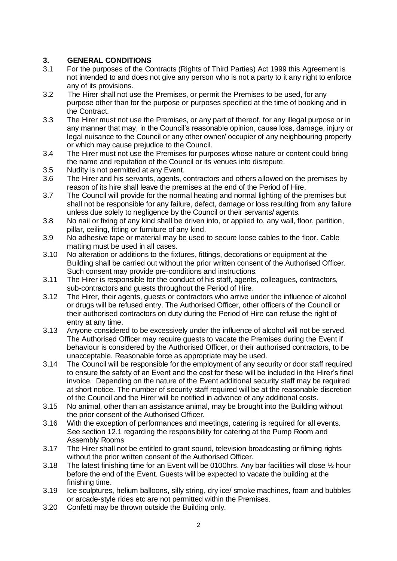# **3. GENERAL CONDITIONS**

- 3.1 For the purposes of the Contracts (Rights of Third Parties) Act 1999 this Agreement is not intended to and does not give any person who is not a party to it any right to enforce any of its provisions.
- 3.2 The Hirer shall not use the Premises, or permit the Premises to be used, for any purpose other than for the purpose or purposes specified at the time of booking and in the Contract.
- 3.3 The Hirer must not use the Premises, or any part of thereof, for any illegal purpose or in any manner that may, in the Council's reasonable opinion, cause loss, damage, injury or legal nuisance to the Council or any other owner/ occupier of any neighbouring property or which may cause prejudice to the Council.
- 3.4 The Hirer must not use the Premises for purposes whose nature or content could bring the name and reputation of the Council or its venues into disrepute.
- 3.5 Nudity is not permitted at any Event.
- 3.6 The Hirer and his servants, agents, contractors and others allowed on the premises by reason of its hire shall leave the premises at the end of the Period of Hire.
- 3.7 The Council will provide for the normal heating and normal lighting of the premises but shall not be responsible for any failure, defect, damage or loss resulting from any failure unless due solely to negligence by the Council or their servants/ agents.
- 3.8 No nail or fixing of any kind shall be driven into, or applied to, any wall, floor, partition, pillar, ceiling, fitting or furniture of any kind.
- 3.9 No adhesive tape or material may be used to secure loose cables to the floor. Cable matting must be used in all cases.
- 3.10 No alteration or additions to the fixtures, fittings, decorations or equipment at the Building shall be carried out without the prior written consent of the Authorised Officer. Such consent may provide pre-conditions and instructions.
- 3.11 The Hirer is responsible for the conduct of his staff, agents, colleagues, contractors, sub-contractors and guests throughout the Period of Hire.
- 3.12 The Hirer, their agents, guests or contractors who arrive under the influence of alcohol or drugs will be refused entry. The Authorised Officer, other officers of the Council or their authorised contractors on duty during the Period of Hire can refuse the right of entry at any time.
- 3.13 Anyone considered to be excessively under the influence of alcohol will not be served. The Authorised Officer may require guests to vacate the Premises during the Event if behaviour is considered by the Authorised Officer, or their authorised contractors, to be unacceptable. Reasonable force as appropriate may be used.
- 3.14 The Council will be responsible for the employment of any security or door staff required to ensure the safety of an Event and the cost for these will be included in the Hirer's final invoice. Depending on the nature of the Event additional security staff may be required at short notice. The number of security staff required will be at the reasonable discretion of the Council and the Hirer will be notified in advance of any additional costs.
- 3.15 No animal, other than an assistance animal, may be brought into the Building without the prior consent of the Authorised Officer.
- 3.16 With the exception of performances and meetings, catering is required for all events. See section 12.1 regarding the responsibility for catering at the Pump Room and Assembly Rooms
- 3.17 The Hirer shall not be entitled to grant sound, television broadcasting or filming rights without the prior written consent of the Authorised Officer.
- 3.18 The latest finishing time for an Event will be 0100 hrs. Any bar facilities will close  $\frac{1}{2}$  hour before the end of the Event. Guests will be expected to vacate the building at the finishing time.
- 3.19 Ice sculptures, helium balloons, silly string, dry ice/ smoke machines, foam and bubbles or arcade-style rides etc are not permitted within the Premises.
- 3.20 Confetti may be thrown outside the Building only.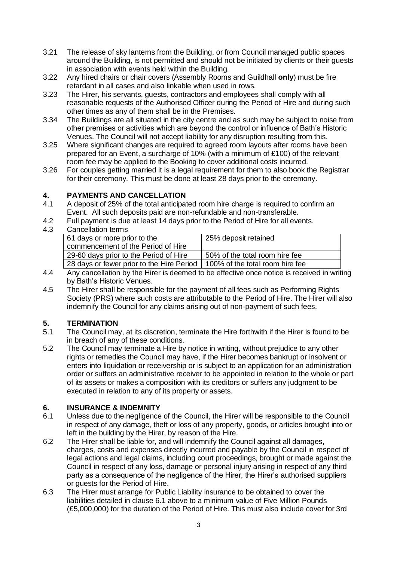- 3.21 The release of sky lanterns from the Building, or from Council managed public spaces around the Building, is not permitted and should not be initiated by clients or their guests in association with events held within the Building.
- 3.22 Any hired chairs or chair covers (Assembly Rooms and Guildhall **only**) must be fire retardant in all cases and also linkable when used in rows.
- 3.23 The Hirer, his servants, guests, contractors and employees shall comply with all reasonable requests of the Authorised Officer during the Period of Hire and during such other times as any of them shall be in the Premises.
- 3.34 The Buildings are all situated in the city centre and as such may be subject to noise from other premises or activities which are beyond the control or influence of Bath's Historic Venues. The Council will not accept liability for any disruption resulting from this.
- 3.25 Where significant changes are required to agreed room layouts after rooms have been prepared for an Event, a surcharge of 10% (with a minimum of £100) of the relevant room fee may be applied to the Booking to cover additional costs incurred.
- 3.26 For couples getting married it is a legal requirement for them to also book the Registrar for their ceremony. This must be done at least 28 days prior to the ceremony.

## **4. PAYMENTS AND CANCELLATION**

- 4.1 A deposit of 25% of the total anticipated room hire charge is required to confirm an Event. All such deposits paid are non-refundable and non-transferable.
- 4.2 Full payment is due at least 14 days prior to the Period of Hire for all events.
- 4.3 Cancellation terms

| <u>ounoonunon nonno</u>                   |                                 |
|-------------------------------------------|---------------------------------|
| 61 days or more prior to the              | 25% deposit retained            |
| commencement of the Period of Hire        |                                 |
| 29-60 days prior to the Period of Hire    | 50% of the total room hire fee  |
| 28 days or fewer prior to the Hire Period | 100% of the total room hire fee |

- 4.4 Any cancellation by the Hirer is deemed to be effective once notice is received in writing by Bath's Historic Venues.
- 4.5 The Hirer shall be responsible for the payment of all fees such as Performing Rights Society (PRS) where such costs are attributable to the Period of Hire. The Hirer will also indemnify the Council for any claims arising out of non-payment of such fees.

# **5. TERMINATION**

- The Council may, at its discretion, terminate the Hire forthwith if the Hirer is found to be in breach of any of these conditions.
- 5.2 The Council may terminate a Hire by notice in writing, without prejudice to any other rights or remedies the Council may have, if the Hirer becomes bankrupt or insolvent or enters into liquidation or receivership or is subject to an application for an administration order or suffers an administrative receiver to be appointed in relation to the whole or part of its assets or makes a composition with its creditors or suffers any judgment to be executed in relation to any of its property or assets.

#### **6. INSURANCE & INDEMNITY**

- 6.1 Unless due to the negligence of the Council, the Hirer will be responsible to the Council in respect of any damage, theft or loss of any property, goods, or articles brought into or left in the building by the Hirer, by reason of the Hire.
- 6.2 The Hirer shall be liable for, and will indemnify the Council against all damages, charges, costs and expenses directly incurred and payable by the Council in respect of legal actions and legal claims, including court proceedings, brought or made against the Council in respect of any loss, damage or personal injury arising in respect of any third party as a consequence of the negligence of the Hirer, the Hirer's authorised suppliers or guests for the Period of Hire.
- 6.3 The Hirer must arrange for Public Liability insurance to be obtained to cover the liabilities detailed in clause 6.1 above to a minimum value of Five Million Pounds (£5,000,000) for the duration of the Period of Hire. This must also include cover for 3rd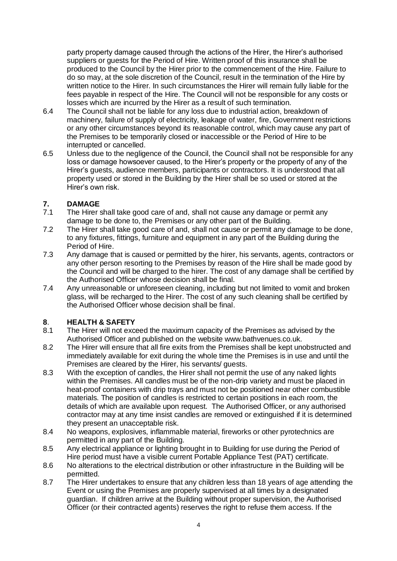party property damage caused through the actions of the Hirer, the Hirer's authorised suppliers or guests for the Period of Hire. Written proof of this insurance shall be produced to the Council by the Hirer prior to the commencement of the Hire. Failure to do so may, at the sole discretion of the Council, result in the termination of the Hire by written notice to the Hirer. In such circumstances the Hirer will remain fully liable for the fees payable in respect of the Hire. The Council will not be responsible for any costs or losses which are incurred by the Hirer as a result of such termination.

- 6.4 The Council shall not be liable for any loss due to industrial action, breakdown of machinery, failure of supply of electricity, leakage of water, fire, Government restrictions or any other circumstances beyond its reasonable control, which may cause any part of the Premises to be temporarily closed or inaccessible or the Period of Hire to be interrupted or cancelled.
- 6.5 Unless due to the negligence of the Council, the Council shall not be responsible for any loss or damage howsoever caused, to the Hirer's property or the property of any of the Hirer's guests, audience members, participants or contractors. It is understood that all property used or stored in the Building by the Hirer shall be so used or stored at the Hirer's own risk.

# **7. DAMAGE**

- The Hirer shall take good care of and, shall not cause any damage or permit any damage to be done to, the Premises or any other part of the Building.
- 7.2 The Hirer shall take good care of and, shall not cause or permit any damage to be done, to any fixtures, fittings, furniture and equipment in any part of the Building during the Period of Hire.
- 7.3 Any damage that is caused or permitted by the hirer, his servants, agents, contractors or any other person resorting to the Premises by reason of the Hire shall be made good by the Council and will be charged to the hirer. The cost of any damage shall be certified by the Authorised Officer whose decision shall be final.
- 7.4 Any unreasonable or unforeseen cleaning, including but not limited to vomit and broken glass, will be recharged to the Hirer. The cost of any such cleaning shall be certified by the Authorised Officer whose decision shall be final.

#### **8**. **HEALTH & SAFETY**

- 8.1 The Hirer will not exceed the maximum capacity of the Premises as advised by the Authorised Officer and published on the website www.bathvenues.co.uk.
- 8.2 The Hirer will ensure that all fire exits from the Premises shall be kept unobstructed and immediately available for exit during the whole time the Premises is in use and until the Premises are cleared by the Hirer, his servants/ guests.
- 8.3 With the exception of candles, the Hirer shall not permit the use of any naked lights within the Premises. All candles must be of the non-drip variety and must be placed in heat-proof containers with drip trays and must not be positioned near other combustible materials. The position of candles is restricted to certain positions in each room, the details of which are available upon request. The Authorised Officer, or any authorised contractor may at any time insist candles are removed or extinguished if it is determined they present an unacceptable risk.
- 8.4 No weapons, explosives, inflammable material, fireworks or other pyrotechnics are permitted in any part of the Building.
- 8.5 Any electrical appliance or lighting brought in to Building for use during the Period of Hire period must have a visible current Portable Appliance Test (PAT) certificate.
- 8.6 No alterations to the electrical distribution or other infrastructure in the Building will be permitted.
- 8.7 The Hirer undertakes to ensure that any children less than 18 years of age attending the Event or using the Premises are properly supervised at all times by a designated guardian. If children arrive at the Building without proper supervision, the Authorised Officer (or their contracted agents) reserves the right to refuse them access. If the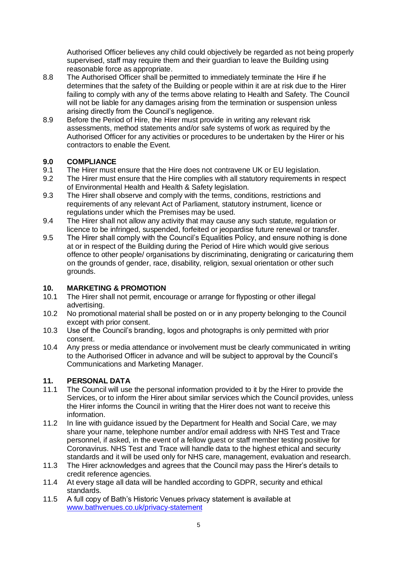Authorised Officer believes any child could objectively be regarded as not being properly supervised, staff may require them and their guardian to leave the Building using reasonable force as appropriate.

- 8.8 The Authorised Officer shall be permitted to immediately terminate the Hire if he determines that the safety of the Building or people within it are at risk due to the Hirer failing to comply with any of the terms above relating to Health and Safety. The Council will not be liable for any damages arising from the termination or suspension unless arising directly from the Council's negligence.
- 8.9 Before the Period of Hire, the Hirer must provide in writing any relevant risk assessments, method statements and/or safe systems of work as required by the Authorised Officer for any activities or procedures to be undertaken by the Hirer or his contractors to enable the Event.

## **9.0 COMPLIANCE**

- 9.1 The Hirer must ensure that the Hire does not contravene UK or EU legislation.
- 9.2 The Hirer must ensure that the Hire complies with all statutory requirements in respect of Environmental Health and Health & Safety legislation.
- 9.3 The Hirer shall observe and comply with the terms, conditions, restrictions and requirements of any relevant Act of Parliament, statutory instrument, licence or regulations under which the Premises may be used.
- 9.4 The Hirer shall not allow any activity that may cause any such statute, regulation or licence to be infringed, suspended, forfeited or jeopardise future renewal or transfer.
- 9.5 The Hirer shall comply with the Council's Equalities Policy, and ensure nothing is done at or in respect of the Building during the Period of Hire which would give serious offence to other people/ organisations by discriminating, denigrating or caricaturing them on the grounds of gender, race, disability, religion, sexual orientation or other such grounds.

# **10. MARKETING & PROMOTION**

- The Hirer shall not permit, encourage or arrange for flyposting or other illegal advertising.
- 10.2 No promotional material shall be posted on or in any property belonging to the Council except with prior consent.
- 10.3 Use of the Council's branding, logos and photographs is only permitted with prior consent.
- 10.4 Any press or media attendance or involvement must be clearly communicated in writing to the Authorised Officer in advance and will be subject to approval by the Council's Communications and Marketing Manager.

# **11. PERSONAL DATA**

- 11.1 The Council will use the personal information provided to it by the Hirer to provide the Services, or to inform the Hirer about similar services which the Council provides, unless the Hirer informs the Council in writing that the Hirer does not want to receive this information.
- 11.2 In line with guidance issued by the Department for Health and Social Care, we may share your name, telephone number and/or email address with NHS Test and Trace personnel, if asked, in the event of a fellow guest or staff member testing positive for Coronavirus. NHS Test and Trace will handle data to the highest ethical and security standards and it will be used only for NHS care, management, evaluation and research.
- 11.3 The Hirer acknowledges and agrees that the Council may pass the Hirer's details to credit reference agencies.
- 11.4 At every stage all data will be handled according to GDPR, security and ethical standards.
- 11.5 A full copy of Bath's Historic Venues privacy statement is available at [www.bathvenues.co.uk/privacy-statement](http://www.bathvenues.co.uk/privacy-statement)